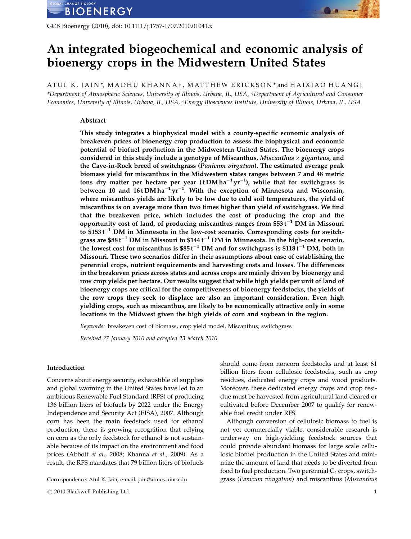

GCB Bioenergy (2010), doi: 10.1111/j.1757-1707.2010.01041.x

# An integrated biogeochemical and economic analysis of bioenergy crops in the Midwestern United States

ATUL K. JAIN\*, MADHU KHANNA $\dagger$ , MATTHEW ERICKSON\* and HAIXIAO HUANG $\dagger$ \*Department of Atmospheric Sciences, University of Illinois, Urbana, IL, USA, †Department of Agricultural and Consumer Economics, University of Illinois, Urbana, IL, USA, zEnergy Biosciences Institute, University of Illinois, Urbana, IL, USA

## Abstract

This study integrates a biophysical model with a county-specific economic analysis of breakeven prices of bioenergy crop production to assess the biophysical and economic potential of biofuel production in the Midwestern United States. The bioenergy crops considered in this study include a genotype of Miscanthus, *Miscanthus*  $\times$  gig*anteus,* and the Cave-in-Rock breed of switchgrass (Panicum virgatum). The estimated average peak biomass yield for miscanthus in the Midwestern states ranges between 7 and 48 metric tons dry matter per hectare per year (tDM ha $^{-1}$  yr $^{-1}$ ), while that for switchgrass is between 10 and 16t ${\rm DM}\,{\rm ha}^{-1} {\rm yr}^{-1}$ . With the exception of Minnesota and Wisconsin, where miscanthus yields are likely to be low due to cold soil temperatures, the yield of miscanthus is on average more than two times higher than yield of switchgrass. We find that the breakeven price, which includes the cost of producing the crop and the opportunity cost of land, of producing miscanthus ranges from \$53 $t^{-1}$  DM in Missouri to  $$153 t<sup>-1</sup>$  DM in Minnesota in the low-cost scenario. Corresponding costs for switchgrass are \$88 t<sup>-1</sup> DM in Missouri to \$144 t<sup>-1</sup> DM in Minnesota. In the high-cost scenario, the lowest cost for miscanthus is  $$85 t<sup>-1</sup>$  DM and for switchgrass is  $$118 t<sup>-1</sup>$  DM, both in Missouri. These two scenarios differ in their assumptions about ease of establishing the perennial crops, nutrient requirements and harvesting costs and losses. The differences in the breakeven prices across states and across crops are mainly driven by bioenergy and row crop yields per hectare. Our results suggest that while high yields per unit of land of bioenergy crops are critical for the competitiveness of bioenergy feedstocks, the yields of the row crops they seek to displace are also an important consideration. Even high yielding crops, such as miscanthus, are likely to be economically attractive only in some locations in the Midwest given the high yields of corn and soybean in the region.

Keywords: breakeven cost of biomass, crop yield model, Miscanthus, switchgrass

Received 27 January 2010 and accepted 23 March 2010

#### Introduction

Concerns about energy security, exhaustible oil supplies and global warming in the United States have led to an ambitious Renewable Fuel Standard (RFS) of producing 136 billion liters of biofuels by 2022 under the Energy Independence and Security Act (EISA), 2007. Although corn has been the main feedstock used for ethanol production, there is growing recognition that relying on corn as the only feedstock for ethanol is not sustainable because of its impact on the environment and food prices (Abbott et al., 2008; Khanna et al., 2009). As a result, the RFS mandates that 79 billion liters of biofuels

r 2010 Blackwell Publishing Ltd 1

should come from noncorn feedstocks and at least 61 billion liters from cellulosic feedstocks, such as crop residues, dedicated energy crops and wood products. Moreover, these dedicated energy crops and crop residue must be harvested from agricultural land cleared or cultivated before December 2007 to qualify for renewable fuel credit under RFS.

Although conversion of cellulosic biomass to fuel is not yet commercially viable, considerable research is underway on high-yielding feedstock sources that could provide abundant biomass for large scale cellulosic biofuel production in the United States and minimize the amount of land that needs to be diverted from food to fuel production. Two perennial  $C_4$  crops, switch-Correspondence: Atul K. Jain, e-mail: [jain@atmos.uiuc.edu](mailto:jain@atmos.uiuc.edu) grass (Panicum viragatum) and miscanthus (Miscanthus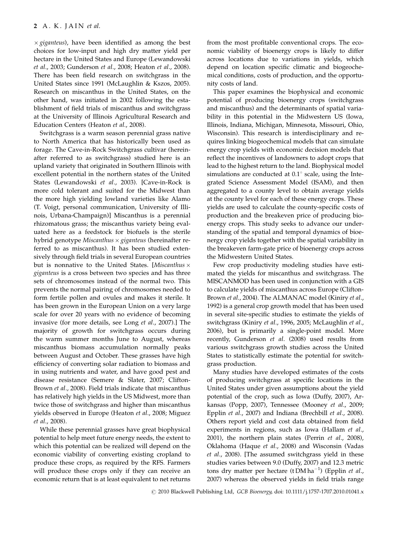$\times$  giganteus), have been identified as among the best choices for low-input and high dry matter yield per hectare in the United States and Europe (Lewandowski et al., 2003; Gunderson et al., 2008; Heaton et al., 2008). There has been field research on switchgrass in the United States since 1991 (McLaughlin & Kszos, 2005). Research on miscanthus in the United States, on the other hand, was initiated in 2002 following the establishment of field trials of miscanthus and switchgrass at the University of Illinois Agricultural Research and Education Centers (Heaton et al., 2008).

Switchgrass is a warm season perennial grass native to North America that has historically been used as forage. The Cave-in-Rock Switchgrass cultivar (hereinafter referred to as switchgrass) studied here is an upland variety that originated in Southern Illinois with excellent potential in the northern states of the United States (Lewandowski et al., 2003). [Cave-in-Rock is more cold tolerant and suited for the Midwest than the more high yielding lowland varieties like Alamo (T. Voigt, personal communication, University of Illinois, Urbana-Champaign)] Miscanthus is a perennial rhizomatous grass; the miscanthus variety being evaluated here as a feedstock for biofuels is the sterile hybrid genotype Miscanthus  $\times$  giganteus (hereinafter referred to as miscanthus). It has been studied extensively through field trials in several European countries but is nonnative to the United States. [Miscanthus  $\times$ giganteus is a cross between two species and has three sets of chromosomes instead of the normal two. This prevents the normal pairing of chromosomes needed to form fertile pollen and ovules and makes it sterile. It has been grown in the European Union on a very large scale for over 20 years with no evidence of becoming invasive (for more details, see Long et al., 2007).] The majority of growth for switchgrass occurs during the warm summer months June to August, whereas miscanthus biomass accumulation normally peaks between August and October. These grasses have high efficiency of converting solar radiation to biomass and in using nutrients and water, and have good pest and disease resistance (Semere & Slater, 2007; Clifton-Brown et al., 2008). Field trials indicate that miscanthus has relatively high yields in the US Midwest, more than twice those of switchgrass and higher than miscanthus yields observed in Europe (Heaton et al., 2008; Miguez et al., 2008).

While these perennial grasses have great biophysical potential to help meet future energy needs, the extent to which this potential can be realized will depend on the economic viability of converting existing cropland to produce these crops, as required by the RFS. Farmers will produce these crops only if they can receive an economic return that is at least equivalent to net returns from the most profitable conventional crops. The economic viability of bioenergy crops is likely to differ across locations due to variations in yields, which depend on location specific climatic and biogeochemical conditions, costs of production, and the opportunity costs of land.

This paper examines the biophysical and economic potential of producing bioenergy crops (switchgrass and miscanthus) and the determinants of spatial variability in this potential in the Midwestern US (Iowa, Illinois, Indiana, Michigan, Minnesota, Missouri, Ohio, Wisconsin). This research is interdisciplinary and requires linking biogeochemical models that can simulate energy crop yields with economic decision models that reflect the incentives of landowners to adopt crops that lead to the highest return to the land. Biophysical model simulations are conducted at  $0.1^{\circ}$  scale, using the Integrated Science Assessment Model (ISAM), and then aggregated to a county level to obtain average yields at the county level for each of these energy crops. These yields are used to calculate the county-specific costs of production and the breakeven price of producing bioenergy crops. This study seeks to advance our understanding of the spatial and temporal dynamics of bioenergy crop yields together with the spatial variability in the breakeven farm-gate price of bioenergy crops across the Midwestern United States.

Few crop productivity modeling studies have estimated the yields for miscanthus and switchgrass. The MISCANMOD has been used in conjunction with a GIS to calculate yields of miscanthus across Europe (Clifton-Brown et al., 2004). The ALMANAC model (Kiniry et al., 1992) is a general crop growth model that has been used in several site-specific studies to estimate the yields of switchgrass (Kiniry et al., 1996, 2005; McLaughlin et al., 2006), but is primarily a single-point model. More recently, Gunderson et al. (2008) used results from various switchgrass growth studies across the United States to statistically estimate the potential for switchgrass production.

Many studies have developed estimates of the costs of producing switchgrass at specific locations in the United States under given assumptions about the yield potential of the crop, such as Iowa (Duffy, 2007), Arkansas (Popp, 2007), Tennessee (Mooney et al., 2009; Epplin et al., 2007) and Indiana (Brechbill et al., 2008). Others report yield and cost data obtained from field experiments in regions, such as Iowa (Hallam et al., 2001), the northern plain states (Perrin et al., 2008), Oklahoma (Haque et al., 2008) and Wisconsin (Vadas et al., 2008). [The assumed switchgrass yield in these studies varies between 9.0 (Duffy, 2007) and 12.3 metric tons dry matter per hectare (t DM ha $^{-1}$ ) (Epplin et al., 2007) whereas the observed yields in field trials range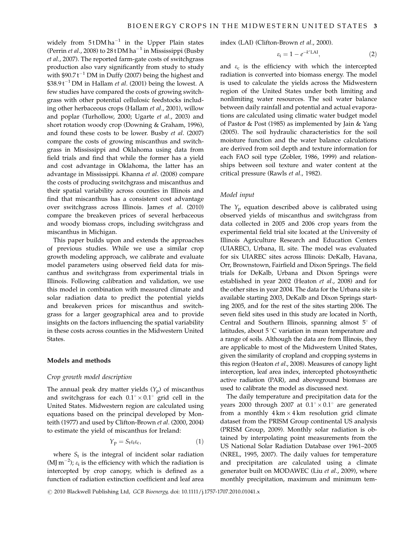widely from  $5t$  DM ha<sup>-1</sup> in the Upper Plain states (Perrin *et al.*, 2008) to 28 t DM ha<sup>-1</sup> in Mississippi (Busby et al., 2007). The reported farm-gate costs of switchgrass production also vary significantly from study to study with  $$90.7 t^{-1}$  DM in Duffy (2007) being the highest and  $$38.9\text{ t}^{-1}$  DM in Hallam *et al.* (2001) being the lowest. A few studies have compared the costs of growing switchgrass with other potential cellulosic feedstocks including other herbaceous crops (Hallam et al., 2001), willow and poplar (Turhollow, 2000; Ugarte et al., 2003) and short rotation woody crop (Downing & Graham, 1996), and found these costs to be lower. Busby et al. (2007) compare the costs of growing miscanthus and switchgrass in Mississippi and Oklahoma using data from field trials and find that while the former has a yield and cost advantage in Oklahoma, the latter has an advantage in Mississippi. Khanna et al. (2008) compare the costs of producing switchgrass and miscanthus and their spatial variability across counties in Illinois and find that miscanthus has a consistent cost advantage over switchgrass across Illinois. James et al. (2010) compare the breakeven prices of several herbaceous and woody biomass crops, including switchgrass and miscanthus in Michigan.

This paper builds upon and extends the approaches of previous studies. While we use a similar crop growth modeling approach, we calibrate and evaluate model parameters using observed field data for miscanthus and switchgrass from experimental trials in Illinois. Following calibration and validation, we use this model in combination with measured climate and solar radiation data to predict the potential yields and breakeven prices for miscanthus and switchgrass for a larger geographical area and to provide insights on the factors influencing the spatial variability in these costs across counties in the Midwestern United States.

#### Models and methods

#### Crop growth model description

The annual peak dry matter yields  $(Y_p)$  of miscanthus and switchgrass for each  $0.1^{\circ} \times 0.1^{\circ}$  grid cell in the United States. Midwestern region are calculated using equations based on the principal developed by Monteith (1977) and used by Clifton-Brown et al. (2000, 2004) to estimate the yield of miscanthus for Ireland:

$$
Y_p = S_t \varepsilon_i \varepsilon_c,\tag{1}
$$

where  $S_t$  is the integral of incident solar radiation (MJ m<sup>-2</sup>);  $\varepsilon$ <sub>i</sub> is the efficiency with which the radiation is intercepted by crop canopy, which is defined as a function of radiation extinction coefficient and leaf area index (LAI) (Clifton-Brown et al., 2000).

$$
\varepsilon_{\rm i} = 1 - e^{-k^* \text{LAI}},\tag{2}
$$

and  $\varepsilon_c$  is the efficiency with which the intercepted radiation is converted into biomass energy. The model is used to calculate the yields across the Midwestern region of the United States under both limiting and nonlimiting water resources. The soil water balance between daily rainfall and potential and actual evaporations are calculated using climatic water budget model of Pastor & Post (1985) as implemented by Jain & Yang (2005). The soil hydraulic characteristics for the soil moisture function and the water balance calculations are derived from soil depth and texture information for each FAO soil type (Zobler, 1986, 1999) and relationships between soil texture and water content at the critical pressure (Rawls et al., 1982).

## Model input

The  $Y_p$  equation described above is calibrated using observed yields of miscanthus and switchgrass from data collected in 2005 and 2006 crop years from the experimental field trial site located at the University of Illinois Agriculture Research and Education Centers (UIAREC), Urbana, IL site. The model was evaluated for six UIAREC sites across Illinois: DeKalb, Havana, Orr, Brownstown, Fairfield and Dixon Springs. The field trials for DeKalb, Urbana and Dixon Springs were established in year 2002 (Heaton et al., 2008) and for the other sites in year 2004. The data for the Urbana site is available starting 2003, DeKalb and Dixon Springs starting 2005, and for the rest of the sites starting 2006. The seven field sites used in this study are located in North, Central and Southern Illinois, spanning almost  $5^{\circ}$  of latitudes, about  $5^{\circ}$ C variation in mean temperature and a range of soils. Although the data are from Illinois, they are applicable to most of the Midwestern United States, given the similarity of cropland and cropping systems in this region (Heaton et al., 2008). Measures of canopy light interception, leaf area index, intercepted photosynthetic active radiation (PAR), and aboveground biomass are used to calibrate the model as discussed next.

The daily temperature and precipitation data for the years 2000 through 2007 at  $0.1^{\circ} \times 0.1^{\circ}$  are generated from a monthly  $4 \text{ km} \times 4 \text{ km}$  resolution grid climate dataset from the PRISM Group continental US analysis (PRISM Group, 2009). Monthly solar radiation is obtained by interpolating point measurements from the US National Solar Radiation Database over 1961–2005 (NREL, 1995, 2007). The daily values for temperature and precipitation are calculated using a climate generator built on MODAWEC (Liu et al., 2009), where monthly precipitation, maximum and minimum tem-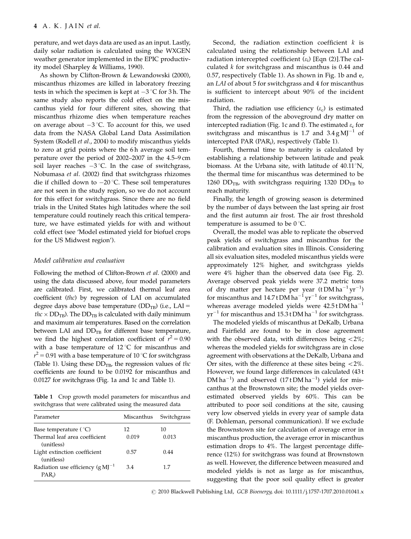perature, and wet days data are used as an input. Lastly, daily solar radiation is calculated using the WXGEN weather generator implemented in the EPIC productivity model (Sharpley & Williams, 1990).

As shown by Clifton-Brown & Lewandowski (2000), miscanthus rhizomes are killed in laboratory freezing tests in which the specimen is kept at  $-3$  °C for 3 h. The same study also reports the cold effect on the miscanthus yield for four different sites, showing that miscanthus rhizome dies when temperature reaches on average about  $-3$  °C. To account for this, we used data from the NASA Global Land Data Assimilation System (Rodell et al., 2004) to modify miscanthus yields to zero at grid points where the 6 h average soil temperature over the period of 2002–2007 in the 4.5–9 cm soil layer reaches  $-3$  °C. In the case of switchgrass, Nobumasa et al. (2002) find that switchgrass rhizomes die if chilled down to  $-20$  °C. These soil temperatures are not seen in the study region, so we do not account for this effect for switchgrass. Since there are no field trials in the United States high latitudes where the soil temperature could routinely reach this critical temperature, we have estimated yields for with and without cold effect (see 'Model estimated yield for biofuel crops for the US Midwest region').

# Model calibration and evaluation

Following the method of Clifton-Brown et al. (2000) and using the data discussed above, four model parameters are calibrated. First, we calibrated thermal leaf area coefficient (thc) by regression of LAI on accumulated degree days above base temperature  $(DD_{TB})$  (i.e.,  $LAI =$  $\mathit{thc}\times\mathit{DD}_{\mathit{TB}}$ ). The  $\mathit{DD}_{\mathit{TB}}$  is calculated with daily minimum and maximum air temperatures. Based on the correlation between LAI and  $DD_{TB}$  for different base temperature, we find the highest correlation coefficient of  $r^2 = 0.90$ with a base temperature of 12 °C for miscanthus and  $r^2$  = 0.91 with a base temperature of 10 °C for switchgrass (Table 1). Using these  $DD_{TB}$ , the regression values of thc coefficients are found to be 0.0192 for miscanthus and 0.0127 for switchgrass (Fig. 1a and 1c and Table 1).

Table 1 Crop growth model parameters for miscanthus and switchgrass that were calibrated using the measured data

| Parameter                                        | Miscanthus | Switchgrass |
|--------------------------------------------------|------------|-------------|
| Base temperature $(^{\circ}C)$                   | 12         | 10          |
| Thermal leaf area coefficient<br>(unitless)      | 0.019      | 0.013       |
| Light extinction coefficient<br>(unitless)       | 0.57       | 0.44        |
| Radiation use efficiency $(gM)^{-1}$<br>$PAR_i)$ | 3.4        | 1.7         |

Second, the radiation extinction coefficient  $k$  is calculated using the relationship between LAI and radiation intercepted coefficient  $(\varepsilon_i)$  [Eqn (2)]. The calculated k for switchgrass and miscanthus is 0.44 and 0.57, respectively (Table 1). As shown in Fig. 1b and e, an LAI of about 5 for switchgrass and 4 for miscanthus is sufficient to intercept about 90% of the incident radiation.

Third, the radiation use efficiency  $(\varepsilon_c)$  is estimated from the regression of the aboveground dry matter on intercepted radiation (Fig. 1c and f). The estimated  $\varepsilon_c$  for switchgrass and miscanthus is 1.7 and  $3.4 \text{ g} \text{MI}^{-1}$  of intercepted PAR (PAR<sub>i</sub>), respectively (Table 1).

Fourth, thermal time to maturity is calculated by establishing a relationship between latitude and peak biomass. At the Urbana site, with latitude of  $40.11^{\circ}N$ , the thermal time for miscanthus was determined to be 1260  $DD_{TB}$ , with switchgrass requiring 1320  $DD_{TB}$  to reach maturity.

Finally, the length of growing season is determined by the number of days between the last spring air frost and the first autumn air frost. The air frost threshold temperature is assumed to be  $0^{\circ}C$ .

Overall, the model was able to replicate the observed peak yields of switchgrass and miscanthus for the calibration and evaluation sites in Illinois. Considering all six evaluation sites, modeled miscanthus yields were approximately 12% higher, and switchgrass yields were 4% higher than the observed data (see Fig. 2). Average observed peak yields were 37.2 metric tons of dry matter per hectare per year  $(tDM ha^{-1}yr^{-1})$ for miscanthus and 14.7 t DM ha<sup>-1</sup> yr<sup>-1</sup> for switchgrass, whereas average modeled yields were  $42.5$  t DM ha<sup>-1</sup>  $yr^{-1}$  for miscanthus and 15.3 t DM ha<sup>-1</sup> for switchgrass.

The modeled yields of miscanthus at DeKalb, Urbana and Fairfield are found to be in close agreement with the observed data, with differences being  $\langle 2\% \rangle$ ; whereas the modeled yields for switchgrass are in close agreement with observations at the DeKalb, Urbana and Orr sites, with the difference at these sites being  $\langle 2\% \rangle$ . However, we found large differences in calculated (43 t DM ha<sup>-1</sup>) and observed  $(17t$  DM ha<sup>-1</sup>) yield for miscanthus at the Brownstown site; the model yields overestimated observed yields by 60%. This can be attributed to poor soil conditions at the site, causing very low observed yields in every year of sample data (F. Dohleman, personal communication). If we exclude the Brownstown site for calculation of average error in miscanthus production, the average error in miscanthus estimation drops to 4%. The largest percentage difference (12%) for switchgrass was found at Brownstown as well. However, the difference between measured and modeled yields is not as large as for miscanthus, suggesting that the poor soil quality effect is greater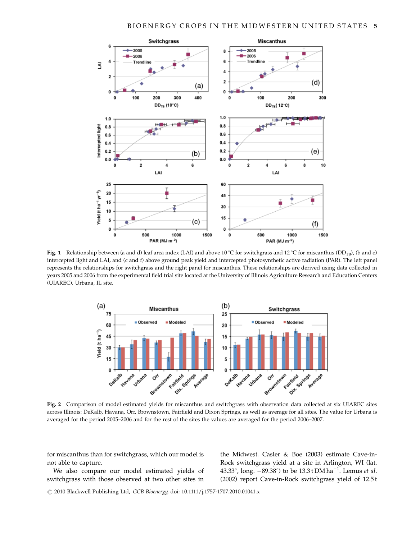

Fig. 1 Relationship between (a and d) leaf area index (LAI) and above 10 °C for switchgrass and 12 °C for miscanthus (DD<sub>TB</sub>), (b and e) intercepted light and LAI, and (c and f) above ground peak yield and intercepted photosynthetic active radiation (PAR). The left panel represents the relationships for switchgrass and the right panel for miscanthus. These relationships are derived using data collected in years 2005 and 2006 from the experimental field trial site located at the University of Illinois Agriculture Research and Education Centers (UIAREC), Urbana, IL site.



Fig. 2 Comparison of model estimated yields for miscanthus and switchgrass with observation data collected at six UIAREC sites across Illinois: DeKalb, Havana, Orr, Brownstown, Fairfield and Dixon Springs, as well as average for all sites. The value for Urbana is averaged for the period 2005–2006 and for the rest of the sites the values are averaged for the period 2006–2007.

for miscanthus than for switchgrass, which our model is not able to capture.

We also compare our model estimated yields of switchgrass with those observed at two other sites in

the Midwest. Casler & Boe (2003) estimate Cave-in-Rock switchgrass yield at a site in Arlington, WI (lat. 43.33°, long.  $-89.38^{\circ}$ ) to be 13.3 t DM ha<sup>-1</sup>. Lemus *et al*. (2002) report Cave-in-Rock switchgrass yield of 12.5 t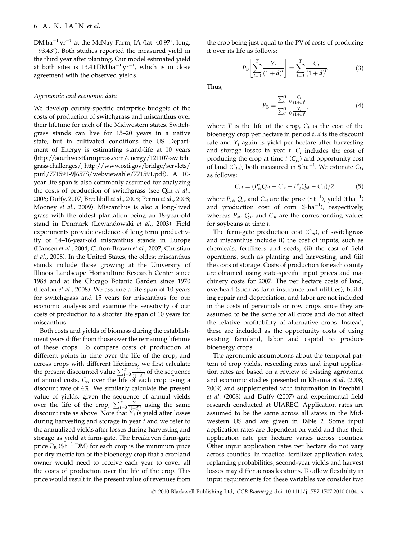$DM ha^{-1}vr^{-1}$  at the McNay Farm, IA (lat. 40.97°, long.  $-93.43^{\circ}$ ). Both studies reported the measured yield in the third year after planting. Our model estimated yield at both sites is  $13.4 \text{ tDM} \, \text{ha}^{-1} \, \text{yr}^{-1}$ , which is in close agreement with the observed yields.

# Agronomic and economic data

We develop county-specific enterprise budgets of the costs of production of switchgrass and miscanthus over their lifetime for each of the Midwestern states. Switchgrass stands can live for 15–20 years in a native state, but in cultivated conditions the US Department of Energy is estimating stand-life at 10 years ([http://southwestfarmpress.com/energy/121107-switch](http://southwestfarmpress.com/energy/121107-switchgrass-challenges/) [grass-challenges/, http://www.osti.gov/bridge/servlets/](http://www.osti.gov/bridge/servlets/purl/771591-9J657S/webviewable/771591.pdf) [purl/771591-9J657S/webviewable/771591.pdf\). A 10](http://www.osti.gov/bridge/servlets/purl/771591-9J657S/webviewable/771591.pdf) [year life span is also commonly assumed for analyzing](http://www.osti.gov/bridge/servlets/purl/771591-9J657S/webviewable/771591.pdf) [the costs of production of switchgrass \(see Qin](http://www.osti.gov/bridge/servlets/purl/771591-9J657S/webviewable/771591.pdf) et al., [2006; Duffy, 2007; Brechbill](http://www.osti.gov/bridge/servlets/purl/771591-9J657S/webviewable/771591.pdf) et al., 2008; Perrin et al., 2008; Mooney et al[., 2009\). Miscanthus is also a long-lived](http://www.osti.gov/bridge/servlets/purl/771591-9J657S/webviewable/771591.pdf) [grass with the oldest plantation being an 18-year-old](http://www.osti.gov/bridge/servlets/purl/771591-9J657S/webviewable/771591.pdf) [stand in Denmark \(Lewandowski](http://www.osti.gov/bridge/servlets/purl/771591-9J657S/webviewable/771591.pdf) et al., 2003). Field [experiments provide evidence of long term productiv](http://www.osti.gov/bridge/servlets/purl/771591-9J657S/webviewable/771591.pdf)[ity of 14–16-year-old miscanthus stands in Europe](http://www.osti.gov/bridge/servlets/purl/771591-9J657S/webviewable/771591.pdf) (Hansen et al[., 2004; Clifton-Brown](http://www.osti.gov/bridge/servlets/purl/771591-9J657S/webviewable/771591.pdf) et al., 2007; Christian et al[., 2008\). In the United States, the oldest miscanthus](http://www.osti.gov/bridge/servlets/purl/771591-9J657S/webviewable/771591.pdf) [stands include those growing at the University of](http://www.osti.gov/bridge/servlets/purl/771591-9J657S/webviewable/771591.pdf) [Illinois Landscape Horticulture Research Center since](http://www.osti.gov/bridge/servlets/purl/771591-9J657S/webviewable/771591.pdf) [1988 and at the Chicago Botanic Garden since 1970](http://www.osti.gov/bridge/servlets/purl/771591-9J657S/webviewable/771591.pdf) (Heaton et al[., 2008\). We assume a life span of 10 years](http://www.osti.gov/bridge/servlets/purl/771591-9J657S/webviewable/771591.pdf) [for switchgrass and 15 years for miscanthus for our](http://www.osti.gov/bridge/servlets/purl/771591-9J657S/webviewable/771591.pdf) [economic analysis and examine the sensitivity of our](http://www.osti.gov/bridge/servlets/purl/771591-9J657S/webviewable/771591.pdf) [costs of production to a shorter life span of 10 years for](http://www.osti.gov/bridge/servlets/purl/771591-9J657S/webviewable/771591.pdf) [miscanthus.](http://www.osti.gov/bridge/servlets/purl/771591-9J657S/webviewable/771591.pdf)

Both costs and yields of biomass during the establishment years differ from those over the remaining lifetime of these crops. To compare costs of production at different points in time over the life of the crop, and across crops with different lifetimes, we first calculate the present discounted value  $\sum_{i=0}^{T} \frac{C_i}{(1+d)^i}$  of the sequence of annual costs,  $C_t$ , over the life of each crop using a discount rate of 4%. We similarly calculate the present value of yields, given the sequence of annual yields over the life of the crop,  $\sum_{t=0}^{T} \frac{Y_t}{(1+d)^t}$  using the same discount rate as above. Note that  $Y_t$  is yield after losses during harvesting and storage in year  $t$  and we refer to the annualized yields after losses during harvesting and storage as yield at farm-gate. The breakeven farm-gate price  $P_B$  (\$t<sup>-1</sup> DM) for each crop is the minimum price per dry metric ton of the bioenergy crop that a cropland owner would need to receive each year to cover all the costs of production over the life of the crop. This price would result in the present value of revenues from

the crop being just equal to the PV of costs of producing it over its life as follows:

$$
P_{\rm B} \left[ \sum_{t=0}^{T} \frac{Y_t}{(1+d)^t} \right] = \sum_{t=0}^{T} \frac{C_t}{(1+d)^t}.
$$
 (3)

Thus,

$$
P_{\rm B} = \frac{\sum_{t=0}^{T} \frac{C_t}{(1+d)^t}}{\sum_{t=0}^{T} \frac{Y_t}{(1+d)^t}},\tag{4}
$$

where  $T$  is the life of the crop,  $C_t$  is the cost of the bioenergy crop per hectare in period  $t$ ,  $d$  is the discount rate and  $Y_t$  again is yield per hectare after harvesting and storage losses in year  $t$ .  $C_t$  includes the cost of producing the crop at time  $t$  ( $C_{pt}$ ) and opportunity cost of land  $(C_{Lt})$ , both measured in \$ha<sup>-1</sup>. We estimate  $C_{Lt}$ as follows:

$$
C_{Lt} = (P_{ct}^* Q_{ct} - C_{ct} + P_{st}^* Q_{st} - C_{st})/2, \tag{5}
$$

where  $P_{ct}$ ,  $Q_{ct}$  and  $C_{ct}$  are the price (\$t<sup>-1</sup>), yield (tha<sup>-1</sup>) and production cost of corn  $(\$ ha^{-1})$ , respectively, whereas  $P_{st}$ ,  $Q_{st}$  and  $C_{st}$  are the corresponding values for soybeans at time t.

The farm-gate production cost  $(C_{pt})$ , of switchgrass and miscanthus include (i) the cost of inputs, such as chemicals, fertilizers and seeds, (ii) the cost of field operations, such as planting and harvesting, and (iii) the costs of storage. Costs of production for each county are obtained using state-specific input prices and machinery costs for 2007. The per hectare costs of land, overhead (such as farm insurance and utilities), building repair and depreciation, and labor are not included in the costs of perennials or row crops since they are assumed to be the same for all crops and do not affect the relative profitability of alternative crops. Instead, these are included as the opportunity costs of using existing farmland, labor and capital to produce bioenergy crops.

The agronomic assumptions about the temporal pattern of crop yields, reseeding rates and input application rates are based on a review of existing agronomic and economic studies presented in Khanna et al. (2008, 2009) and supplemented with information in Brechbill et al. (2008) and Duffy (2007) and experimental field research conducted at UIAREC. Application rates are assumed to be the same across all states in the Midwestern US and are given in Table 2. Some input application rates are dependent on yield and thus their application rate per hectare varies across counties. Other input application rates per hectare do not vary across counties. In practice, fertilizer application rates, replanting probabilities, second-year yields and harvest losses may differ across locations. To allow flexibility in input requirements for these variables we consider two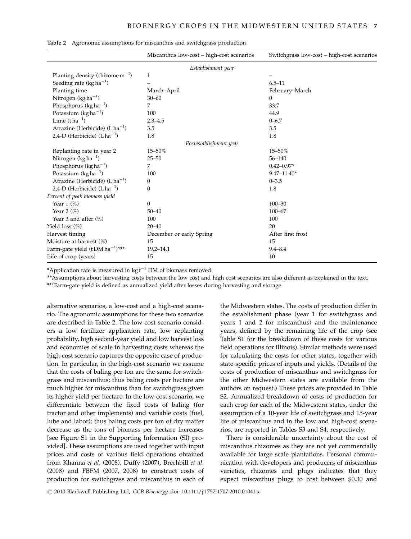|                                      | Miscanthus low-cost - high-cost scenarios | Switchgrass low-cost – high-cost scenarios |
|--------------------------------------|-------------------------------------------|--------------------------------------------|
|                                      | Establishment year                        |                                            |
| Planting density (rhizome $m^{-1}$ ) | 1                                         |                                            |
| Seeding rate $(kg ha^{-1})$          |                                           | $6.5 - 11$                                 |
| Planting time                        | March-April                               | February-March                             |
| Nitrogen $(kg ha^{-1})$              | $30 - 60$                                 | 0                                          |
| Phosphorus $(kg ha^{-1})$            | 7                                         | 33.7                                       |
| Potassium $(kg ha^{-1})$             | 100                                       | 44.9                                       |
| Lime $(tha^{-1})$                    | $2.3 - 4.5$                               | $0 - 6.7$                                  |
| Atrazine (Herbicide) $(L ha^{-1})$   | 3.5                                       | 3.5                                        |
| 2,4-D (Herbicide) $(L ha^{-1})$      | 1.8                                       | 1.8                                        |
|                                      | Postestablishment year                    |                                            |
| Replanting rate in year 2            | 15-50%                                    | 15-50%                                     |
| Nitrogen $(kg ha^{-1})$              | $25 - 50$                                 | $56 - 140$                                 |
| Phosphorus ( $kg ha^{-1}$ )          | 7                                         | $0.42 - 0.97*$                             |
| Potassium $(kg ha^{-1})$             | 100                                       | $9.47 - 11.40*$                            |
| Atrazine (Herbicide) $(L ha^{-1})$   | $\overline{0}$                            | $0 - 3.5$                                  |
| 2,4-D (Herbicide) $(L ha^{-1})$      | $\Omega$                                  | 1.8                                        |
| Percent of peak biomass yield        |                                           |                                            |
| Year $1 \ (\%)$                      | $\boldsymbol{0}$                          | $100 - 30$                                 |
| Year $2 \ (\%)$                      | $50 - 40$                                 | $100 - 67$                                 |
| Year 3 and after $(\%)$              | 100                                       | 100                                        |
| Yield loss $(\%)$                    | $20 - 40$                                 | 20                                         |
| Harvest timing                       | December or early Spring                  | After first frost                          |
| Moisture at harvest (%)              | 15                                        | 15                                         |
| Farm-gate yield $(t DM ha^{-1})$ *** | $19.2 - 14.1$                             | $9.4 - 8.4$                                |
| Life of crop (years)                 | 15                                        | 10                                         |

| Table 2<br>Agronomic assumptions for miscanthus and switchgrass production |  |  |  |  |  |
|----------------------------------------------------------------------------|--|--|--|--|--|
|----------------------------------------------------------------------------|--|--|--|--|--|

\*Application rate is measured in  $kg t^{-1}$  DM of biomass removed.

\*\*Assumptions about harvesting costs between the low cost and high cost scenarios are also different as explained in the text.

\*\*\*Farm-gate yield is defined as annualized yield after losses during harvesting and storage.

alternative scenarios, a low-cost and a high-cost scenario. The agronomic assumptions for these two scenarios are described in Table 2. The low-cost scenario considers a low fertilizer application rate, low replanting probability, high second-year yield and low harvest loss and economies of scale in harvesting costs whereas the high-cost scenario captures the opposite case of production. In particular, in the high-cost scenario we assume that the costs of baling per ton are the same for switchgrass and miscanthus; thus baling costs per hectare are much higher for miscanthus than for switchgrass given its higher yield per hectare. In the low-cost scenario, we differentiate between the fixed costs of baling (for tractor and other implements) and variable costs (fuel, lube and labor); thus baling costs per ton of dry matter decrease as the tons of biomass per hectare increases [see Figure S1 in the Supporting Information (SI) provided]. These assumptions are used together with input prices and costs of various field operations obtained from Khanna et al. (2008), Duffy (2007), Brechbill et al. (2008) and FBFM (2007, 2008) to construct costs of production for switchgrass and miscanthus in each of

the Midwestern states. The costs of production differ in the establishment phase (year 1 for switchgrass and years 1 and 2 for miscanthus) and the maintenance years, defined by the remaining life of the crop (see Table S1 for the breakdown of these costs for various field operations for Illinois). Similar methods were used for calculating the costs for other states, together with state-specific prices of inputs and yields. (Details of the costs of production of miscanthus and switchgrass for the other Midwestern states are available from the authors on request.) These prices are provided in Table S2. Annualized breakdown of costs of production for each crop for each of the Midwestern states, under the assumption of a 10-year life of switchgrass and 15-year life of miscanthus and in the low and high-cost scenarios, are reported in Tables S3 and S4, respectively.

There is considerable uncertainty about the cost of miscanthus rhizomes as they are not yet commercially available for large scale plantations. Personal communication with developers and producers of miscanthus varieties, rhizomes and plugs indicates that they expect miscanthus plugs to cost between \$0.30 and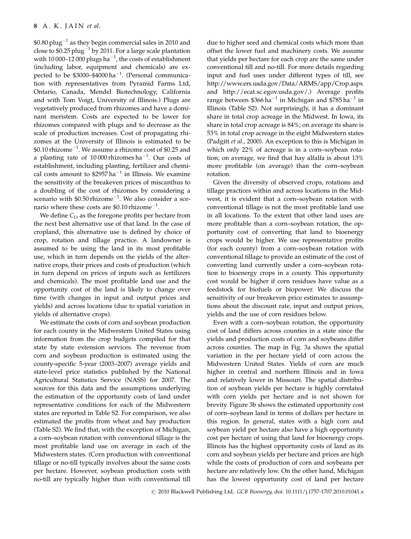$$0.80$  plug<sup>-1</sup> as they begin commercial sales in 2010 and close to  $$0.25$  plug<sup>-1</sup> by 2011. For a large scale plantation with 10 000–12 000 plugs ha $^{-1}$ , the costs of establishment (including labor, equipment and chemicals) are expected to be  $$3000$ – $$4000$  ha $^{-1}$ . (Personal communication with representatives from Pyramid Farms Ltd, Ontario, Canada, Mendel Biotechnology, California and with Tom Voigt, University of Illinois.) Plugs are vegetatively produced from rhizomes and have a dominant meristem. Costs are expected to be lower for rhizomes compared with plugs and to decrease as the scale of production increases. Cost of propagating rhizomes at the University of Illinois is estimated to be  $$0.10\,$ rhizome $^{-1}$ . We assume a rhizome cost of  $\$0.25$  and a planting rate of  $10\,000\,$ rhizomes $\,$ ha $^{-1}$ . Our costs of establishment, including planting, fertilizer and chemical costs amount to  $$2957$  ha<sup>-1</sup> in Illinois. We examine the sensitivity of the breakeven prices of miscanthus to a doubling of the cost of rhizomes by considering a scenario with  $$0.50 \text{ rhizome}^{-1}$ . We also consider a scenario where these costs are  $$0.10\,$ rhizome $^{-1}.$ 

We define  $C_{Lt}$  as the foregone profits per hectare from the next best alternative use of that land. In the case of cropland, this alternative use is defined by choice of crop, rotation and tillage practice. A landowner is assumed to be using the land in its most profitable use, which in turn depends on the yields of the alternative crops, their prices and costs of production (which in turn depend on prices of inputs such as fertilizers and chemicals). The most profitable land use and the opportunity cost of the land is likely to change over time (with changes in input and output prices and yields) and across locations (due to spatial variation in yields of alternative crops).

We estimate the costs of corn and soybean production for each county in the Midwestern United States using information from the crop budgets compiled for that state by state extension services. The revenue from corn and soybean production is estimated using the county-specific 5-year (2003–2007) average yields and state-level price statistics published by the National Agricultural Statistics Service (NASS) for 2007. The sources for this data and the assumptions underlying the estimation of the opportunity costs of land under representative conditions for each of the Midwestern states are reported in Table S2. For comparison, we also estimated the profits from wheat and hay production (Table S2). We find that, with the exception of Michigan, a corn–soybean rotation with conventional tillage is the most profitable land use on average in each of the Midwestern states. (Corn production with conventional tillage or no-till typically involves about the same costs per hectare. However, soybean production costs with no-till are typically higher than with conventional till

due to higher seed and chemical costs which more than offset the lower fuel and machinery costs. We assume that yields per hectare for each crop are the same under conventional till and no-till. For more details regarding input and fuel uses under different types of till, see <http://www.ers.usda.gov/Data/ARMS/app/Crop.aspx> [and http://ecat.sc.egov.usda.gov/.\) Average profits](http://ecat.sc.egov.usda.gov/) [range](http://ecat.sc.egov.usda.gov/) [between](http://ecat.sc.egov.usda.gov/)  $$366$  [ha](http://ecat.sc.egov.usda.gov/)<sup>-[1](http://ecat.sc.egov.usda.gov/)</sup> [in](http://ecat.sc.egov.usda.gov/) [Michigan](http://ecat.sc.egov.usda.gov/) [and](http://ecat.sc.egov.usda.gov/)  $$785$  ha<sup>-1</sup> in [Illinois \(Table S2\). Not surprisingly, it has a dominant](http://ecat.sc.egov.usda.gov/) [share in total crop acreage in the Midwest. In Iowa, its](http://ecat.sc.egov.usda.gov/) [share in total crop acreage is 84%; on average its share is](http://ecat.sc.egov.usda.gov/) [53% in total crop acreage in the eight Midwestern states](http://ecat.sc.egov.usda.gov/) (Padgitt et al[., 2000\). An exception to this is Michigan in](http://ecat.sc.egov.usda.gov/) [which only 22% of acreage is in a corn–soybean rota](http://ecat.sc.egov.usda.gov/)[tion; on average, we find that hay alfalfa is about 13%](http://ecat.sc.egov.usda.gov/) [more profitable \(on average\) than the corn–soybean](http://ecat.sc.egov.usda.gov/) [rotation.](http://ecat.sc.egov.usda.gov/)

Given the diversity of observed crops, rotations and tillage practices within and across locations in the Midwest, it is evident that a corn–soybean rotation with conventional tillage is not the most profitable land use in all locations. To the extent that other land uses are more profitable than a corn–soybean rotation, the opportunity cost of converting that land to bioenergy crops would be higher. We use representative profits (for each county) from a corn–soybean rotation with conventional tillage to provide an estimate of the cost of converting land currently under a corn–soybean rotation to bioenergy crops in a county. This opportunity cost would be higher if corn residues have value as a feedstock for biofuels or biopower. We discuss the sensitivity of our breakeven price estimates to assumptions about the discount rate, input and output prices, yields and the use of corn residues below.

Even with a corn–soybean rotation, the opportunity cost of land differs across counties in a state since the yields and production costs of corn and soybeans differ across counties. The map in Fig. 3a shows the spatial variation in the per hectare yield of corn across the Midwestern United States. Yields of corn are much higher in central and northern Illinois and in Iowa and relatively lower in Missouri. The spatial distribution of soybean yields per hectare is highly correlated with corn yields per hectare and is not shown for brevity. Figure 3b shows the estimated opportunity cost of corn–soybean land in terms of dollars per hectare in this region. In general, states with a high corn and soybean yield per hectare also have a high opportunity cost per hectare of using that land for bioenergy crops. Illinois has the highest opportunity costs of land as its corn and soybean yields per hectare and prices are high while the costs of production of corn and soybeans per hectare are relatively low. On the other hand, Michigan has the lowest opportunity cost of land per hectare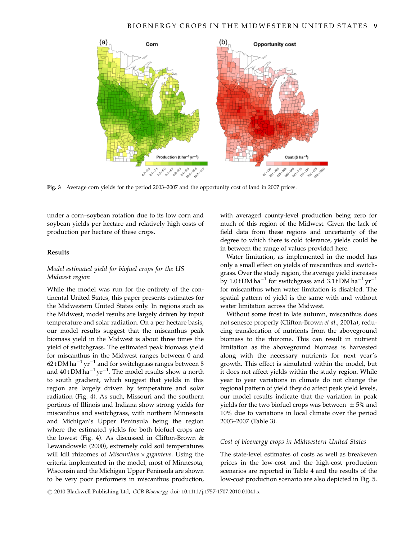

Fig. 3 Average corn yields for the period 2003–2007 and the opportunity cost of land in 2007 prices.

under a corn–soybean rotation due to its low corn and soybean yields per hectare and relatively high costs of production per hectare of these crops.

# Results

# Model estimated yield for biofuel crops for the US Midwest region

While the model was run for the entirety of the continental United States, this paper presents estimates for the Midwestern United States only. In regions such as the Midwest, model results are largely driven by input temperature and solar radiation. On a per hectare basis, our model results suggest that the miscanthus peak biomass yield in the Midwest is about three times the yield of switchgrass. The estimated peak biomass yield for miscanthus in the Midwest ranges between 0 and  $62$  t DM ha<sup>-1</sup> yr<sup>-1</sup> and for switchgrass ranges between 8 and  $40$  t DM ha $^{-1}$  yr $^{-1}$ . The model results show a north to south gradient, which suggest that yields in this region are largely driven by temperature and solar radiation (Fig. 4). As such, Missouri and the southern portions of Illinois and Indiana show strong yields for miscanthus and switchgrass, with northern Minnesota and Michigan's Upper Peninsula being the region where the estimated yields for both biofuel crops are the lowest (Fig. 4). As discussed in Clifton-Brown & Lewandowski (2000), extremely cold soil temperatures will kill rhizomes of *Miscanthus*  $\times$  *giganteus*. Using the criteria implemented in the model, most of Minnesota, Wisconsin and the Michigan Upper Peninsula are shown to be very poor performers in miscanthus production,

with averaged county-level production being zero for much of this region of the Midwest. Given the lack of field data from these regions and uncertainty of the degree to which there is cold tolerance, yields could be in between the range of values provided here.

Water limitation, as implemented in the model has only a small effect on yields of miscanthus and switchgrass. Over the study region, the average yield increases by 1.0 t DM ha<sup>-1</sup> for switchgrass and 3.1 t DM ha<sup>-1</sup> yr<sup>-1</sup> for miscanthus when water limitation is disabled. The spatial pattern of yield is the same with and without water limitation across the Midwest.

Without some frost in late autumn, miscanthus does not senesce properly (Clifton-Brown et al., 2001a), reducing translocation of nutrients from the aboveground biomass to the rhizome. This can result in nutrient limitation as the aboveground biomass is harvested along with the necessary nutrients for next year's growth. This effect is simulated within the model, but it does not affect yields within the study region. While year to year variations in climate do not change the regional pattern of yield they do affect peak yield levels, our model results indicate that the variation in peak yields for the two biofuel crops was between  $\pm$  5% and 10% due to variations in local climate over the period 2003–2007 (Table 3).

## Cost of bioenergy crops in Midwestern United States

The state-level estimates of costs as well as breakeven prices in the low-cost and the high-cost production scenarios are reported in Table 4 and the results of the low-cost production scenario are also depicted in Fig. 5.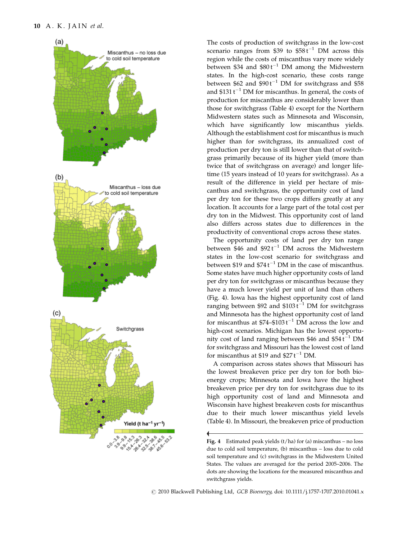

The costs of production of switchgrass in the low-cost scenario ranges from \$39 to  $$58t^{-1}$  DM across this region while the costs of miscanthus vary more widely between \$34 and  $$80 t^{-1}$  DM among the Midwestern states. In the high-cost scenario, these costs range between \$62 and  $$90t^{-1}$  DM for switchgrass and \$58 and \$131  $t^{-1}$  DM for miscanthus. In general, the costs of production for miscanthus are considerably lower than those for switchgrass (Table 4) except for the Northern Midwestern states such as Minnesota and Wisconsin, which have significantly low miscanthus yields. Although the establishment cost for miscanthus is much higher than for switchgrass, its annualized cost of production per dry ton is still lower than that of switchgrass primarily because of its higher yield (more than twice that of switchgrass on average) and longer lifetime (15 years instead of 10 years for switchgrass). As a result of the difference in yield per hectare of miscanthus and switchgrass, the opportunity cost of land per dry ton for these two crops differs greatly at any location. It accounts for a large part of the total cost per dry ton in the Midwest. This opportunity cost of land also differs across states due to differences in the productivity of conventional crops across these states.

The opportunity costs of land per dry ton range between \$46 and  $$92t^{-1}$  DM across the Midwestern states in the low-cost scenario for switchgrass and between \$19 and  $$74 t^{-1}$  DM in the case of miscanthus. Some states have much higher opportunity costs of land per dry ton for switchgrass or miscanthus because they have a much lower yield per unit of land than others (Fig. 4). Iowa has the highest opportunity cost of land ranging between \$92 and  $$103 t<sup>-1</sup>$  DM for switchgrass and Minnesota has the highest opportunity cost of land for miscanthus at  $$74-$103 t<sup>-1</sup> DM across the low and$ high-cost scenarios. Michigan has the lowest opportunity cost of land ranging between \$46 and  $$54t^{-1}$  DM for switchgrass and Missouri has the lowest cost of land for miscanthus at \$19 and  $$27t^{-1}$  DM.

A comparison across states shows that Missouri has the lowest breakeven price per dry ton for both bioenergy crops; Minnesota and Iowa have the highest breakeven price per dry ton for switchgrass due to its high opportunity cost of land and Minnesota and Wisconsin have highest breakeven costs for miscanthus due to their much lower miscanthus yield levels (Table 4). In Missouri, the breakeven price of production

Fig. 4 Estimated peak yields (t/ha) for (a) miscanthus – no loss due to cold soil temperature, (b) miscanthus – loss due to cold soil temperature and (c) switchgrass in the Midwestern United States. The values are averaged for the period 2005–2006. The dots are showing the locations for the measured miscanthus and switchgrass yields.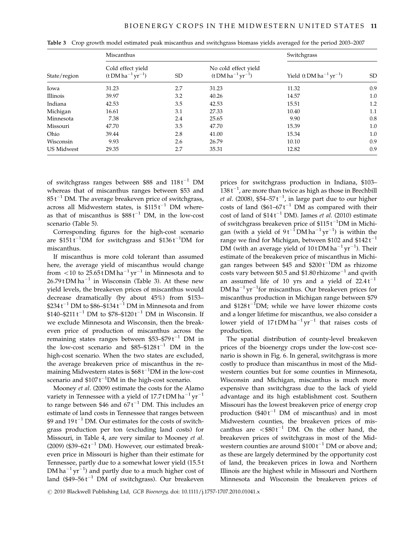|                   | Miscanthus                                    |     | Switchgrass                                      |                                                 |           |  |
|-------------------|-----------------------------------------------|-----|--------------------------------------------------|-------------------------------------------------|-----------|--|
| State/region      | Cold effect yield<br>$(t DM ha^{-1} yr^{-1})$ | SD  | No cold effect yield<br>$(t DM ha^{-1} yr^{-1})$ | Yield (t DM ha <sup>-1</sup> yr <sup>-1</sup> ) | <b>SD</b> |  |
| Iowa              | 31.23                                         | 2.7 | 31.23                                            | 11.32                                           | 0.9       |  |
| Illinois          | 39.97                                         | 3.2 | 40.26                                            | 14.57                                           | 1.0       |  |
| Indiana           | 42.53                                         | 3.5 | 42.53                                            | 15.51                                           | 1.2       |  |
| Michigan          | 16.61                                         | 3.1 | 27.33                                            | 10.40                                           | 1.1       |  |
| Minnesota         | 7.38                                          | 2.4 | 25.65                                            | 9.90                                            | 0.8       |  |
| Missouri          | 47.70                                         | 3.5 | 47.70                                            | 15.39                                           | 1.0       |  |
| Ohio              | 39.44                                         | 2.8 | 41.00                                            | 15.34                                           | 1.0       |  |
| Wisconsin         | 9.93                                          | 2.6 | 26.79                                            | 10.10                                           | 0.9       |  |
| <b>US Midwest</b> | 29.35                                         | 2.7 | 35.31                                            | 12.82                                           | 0.9       |  |

Table 3 Crop growth model estimated peak miscanthus and switchgrass biomass yields averaged for the period 2003–2007

of switchgrass ranges between \$88 and  $118t^{-1}$  DM whereas that of miscanthus ranges between \$53 and  $85 t^{-1}$  DM. The average breakeven price of switchgrass, across all Midwestern states, is  $$115t^{-1}$  DM whereas that of miscanthus is  $$88t^{-1}$  DM, in the low-cost scenario (Table 5).

Corresponding figures for the high-cost scenario are  $$151 t^{-1}DM$  for switchgrass and  $$136 t^{-1}DM$  for miscanthus.

If miscanthus is more cold tolerant than assumed here, the average yield of miscanthus would change from <10 to 25.65 t DM ha<sup>-1</sup> yr<sup>-1</sup> in Minnesota and to  $26.79$  t DM ha<sup>-1</sup> in Wisconsin (Table 3). At these new yield levels, the breakeven prices of miscanthus would decrease dramatically (by about 45%) from \$153–  $$234 t^{-1}$  DM to  $$86-$134 t^{-1}$  DM in Minnesota and from  $$140–$211 t<sup>-1</sup> DM to $78–$120 t<sup>-1</sup> DM in Wisconsin. If$ we exclude Minnesota and Wisconsin, then the breakeven price of production of miscanthus across the remaining states ranges between  $$53-$79 t<sup>-1</sup> DM in$ the low-cost scenario and  $$85-$128 t<sup>-1</sup>$  DM in the high-cost scenario. When the two states are excluded, the average breakeven price of miscanthus in the remaining Midwestern states is  $$68\,{\rm t}^{-1} {\rm DM}$  in the low-cost scenario and  $$107 t^{-1}DM$  in the high-cost scenario.

Mooney et al. (2009) estimate the costs for the Alamo variety in Tennessee with a yield of 17.7 t DM ha<sup>-1</sup> yr<sup>-1</sup> to range between \$46 and  $67t^{-1}$  DM. This includes an estimate of land costs in Tennessee that ranges between \$9 and  $19t^{-1}$  DM. Our estimates for the costs of switchgrass production per ton (excluding land costs) for Missouri, in Table 4, are very similar to Mooney et al. (2009) (\$39–62 $t^{-1}$  DM). However, our estimated breakeven price in Missouri is higher than their estimate for Tennessee, partly due to a somewhat lower yield (15.5 t  $DM ha^{-1}yr^{-1}$ ) and partly due to a much higher cost of land  $($49-56 t^{-1}$  DM of switchgrass). Our breakeven

prices for switchgrass production in Indiana, \$103–  $138t^{-1}$ , are more than twice as high as those in Brechbill *et al.* (2008), \$54–57 $t^{-1}$ , in large part due to our higher costs of land  $($61-67t^{-1}$  DM as compared with their cost of land of  $$14t^{-1}$  DM). James *et al.* (2010) estimate of switchgrass breakeven price of  $$115 t^{-1}DM$  in Michigan (with a yield of  $9t^{-1}$  DM ha<sup>-1</sup> yr<sup>-1</sup>) is within the range we find for Michigan, between \$102 and  $$142 t<sup>-1</sup>$ DM (with an average yield of  $10$ t DM ha<sup>-1</sup> yr<sup>-1</sup>). Their estimate of the breakeven price of miscanthus in Michigan ranges between \$45 and  $$200 t^{-1}DM$  as rhizome costs vary between \$0.5 and \$1.80 rhizome<sup>-1</sup> and qwith an assumed life of 10 yrs and a yield of  $22.4 t^{-1}$  $DM ha^{-1} yr^{-1}$ for miscanthus. Our breakeven prices for miscanthus production in Michigan range between \$79 and  $$128 t^{-1}DM$ ; while we have lower rhizome costs and a longer lifetime for miscanthus, we also consider a lower yield of  $17$ t $DM$  ha<sup>-1</sup> yr<sup>-1</sup> that raises costs of production.

The spatial distribution of county-level breakeven prices of the bioenergy crops under the low-cost scenario is shown in Fig. 6. In general, switchgrass is more costly to produce than miscanthus in most of the Midwestern counties but for some counties in Minnesota, Wisconsin and Michigan, miscanthus is much more expensive than switchgrass due to the lack of yield advantage and its high establishment cost. Southern Missouri has the lowest breakeven price of energy crop production  $($40 t^{-1}$  DM of miscanthus) and in most Midwestern counties, the breakeven prices of miscanthus are  $\langle 480 t^{-1}$  DM. On the other hand, the breakeven prices of switchgrass in most of the Midwestern counties are around  $$100 t<sup>-1</sup> DM$  or above and; as these are largely determined by the opportunity cost of land, the breakeven prices in Iowa and Northern Illinois are the highest while in Missouri and Northern Minnesota and Wisconsin the breakeven prices of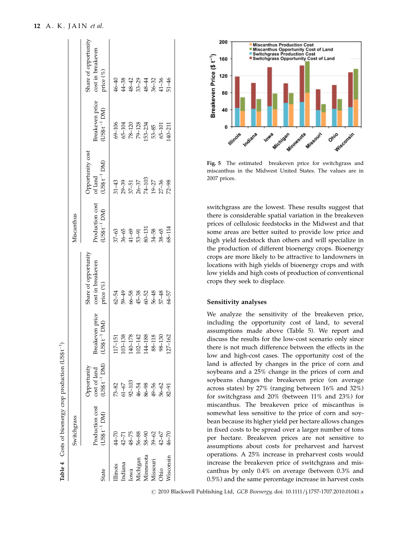|                        | Switchgrass                                                              |                                                  |                                       |                                                                                         | <b>Aiscanthus</b>                                                                     |                                                                                                                                                                                                                                                                                                                        |                                                                                               |                                                        |
|------------------------|--------------------------------------------------------------------------|--------------------------------------------------|---------------------------------------|-----------------------------------------------------------------------------------------|---------------------------------------------------------------------------------------|------------------------------------------------------------------------------------------------------------------------------------------------------------------------------------------------------------------------------------------------------------------------------------------------------------------------|-----------------------------------------------------------------------------------------------|--------------------------------------------------------|
| <b>State</b>           | Production cost<br>$US$t^{-1}DM$                                         | $US$t^{-1}$ DM)<br>cost of land<br>Opportunity   | Breakeven price<br>(US\$ $t^{-1}$ DM) | Share of opportunity<br>cost in breakeven<br>price (%)                                  | Production cost<br>$US8t^{-1}$ DM)                                                    | Opportunity cost<br>$.$ US\$ $t^{-1}$ DM)<br>of land                                                                                                                                                                                                                                                                   | Breakeven price<br>$US8t^{-1}$ DM                                                             | Share of opportunity<br>cost in breakeven<br>price (%) |
| llinois                |                                                                          |                                                  | -151<br>--<br>Ę                       |                                                                                         |                                                                                       |                                                                                                                                                                                                                                                                                                                        |                                                                                               |                                                        |
| Indiana                | $44-70$<br>$42-75$<br>$48-75$<br>$48-8$<br>$56-80$<br>$62-70$<br>$46-70$ | 73-82<br>61-67<br>92-103<br>96-98 96-91<br>82-91 |                                       | $62 - 54$<br>$59 - 58$<br>$66 - 58$<br>$66 - 58$<br>$66 - 52$<br>$66 - 52$<br>$66 - 52$ | $37-63$<br>$36-65$<br>$41-69$<br>$51-51$<br>$51-53$<br>$80-131$<br>$34-56$<br>$38-65$ | $\begin{array}{c} 31 - 43 \\ 29 - 39 \\ 37 - 51 \\ 37 - 37 \\ 26 - 37 \\ 19 - 27 \\ 19 - 27 \\ 27 - 98 \\ 72 - 98 \\ 72 - 98 \\ 72 - 98 \\ 72 - 98 \\ 72 - 98 \\ 72 - 98 \\ 72 - 98 \\ 72 - 98 \\ 72 - 98 \\ 72 - 98 \\ 72 - 98 \\ 72 - 98 \\ 72 - 98 \\ 72 - 98 \\ 72 - 98 \\ 72 - 98 \\ 72 - 98 \\ 72 - 98 \\ 72 - $ | $69-104$<br>$65-104$<br>$78-120$<br>$79-128$<br>$79-123$<br>$153-234$<br>$65-101$<br>$65-101$ |                                                        |
| lowa                   |                                                                          |                                                  | 103-138<br>140-178                    |                                                                                         |                                                                                       |                                                                                                                                                                                                                                                                                                                        |                                                                                               |                                                        |
|                        |                                                                          |                                                  | $-142$<br>S                           |                                                                                         |                                                                                       |                                                                                                                                                                                                                                                                                                                        |                                                                                               |                                                        |
| Michigan<br>Minnesota  |                                                                          |                                                  | 144–188                               |                                                                                         |                                                                                       |                                                                                                                                                                                                                                                                                                                        |                                                                                               |                                                        |
| <i><b>Aissouri</b></i> |                                                                          |                                                  | 86-118<br>98-130                      |                                                                                         |                                                                                       |                                                                                                                                                                                                                                                                                                                        |                                                                                               |                                                        |
| <b>Chio</b>            |                                                                          |                                                  | $5 - 130$                             |                                                                                         |                                                                                       |                                                                                                                                                                                                                                                                                                                        |                                                                                               |                                                        |
| lisconsin              |                                                                          |                                                  | $-162$                                |                                                                                         |                                                                                       |                                                                                                                                                                                                                                                                                                                        |                                                                                               |                                                        |
|                        |                                                                          |                                                  |                                       |                                                                                         |                                                                                       |                                                                                                                                                                                                                                                                                                                        |                                                                                               |                                                        |



Fig. 5 The estimated breakeven price for switchgrass and miscanthus in the Midwest United States. The values are in 2007 prices.

switchgrass are the lowest. These results suggest that there is considerable spatial variation in the breakeven prices of cellulosic feedstocks in the Midwest and that some areas are better suited to provide low price and high yield feedstock than others and will specialize in the production of different bioenergy crops. Bioenergy crops are more likely to be attractive to landowners in locations with high yields of bioenergy crops and with low yields and high costs of production of conventional crops they seek to displace.

## Sensitivity analyses

We analyze the sensitivity of the breakeven price, including the opportunity cost of land, to several assumptions made above (Table 5). We report and discuss the results for the low-cost scenario only since there is not much difference between the effects in the low and high-cost cases. The opportunity cost of the land is affected by changes in the price of corn and soybeans and a 25% change in the prices of corn and soybeans changes the breakeven price (on average across states) by 27% (ranging between 16% and 32%) for switchgrass and 20% (between 11% and 23%) for miscanthus. The breakeven price of miscanthus is somewhat less sensitive to the price of corn and soybean because its higher yield per hectare allows changes in fixed costs to be spread over a larger number of tons per hectare. Breakeven prices are not sensitive to assumptions about costs for preharvest and harvest operations. A 25% increase in preharvest costs would increase the breakeven price of switchgrass and miscanthus by only 0.4% on average (between 0.3% and 0.5%) and the same percentage increase in harvest costs

Table 4

Costs of bioenergy crop production (US\$  $t^{-1}$ 

 $\widehat{\phantom{a}}$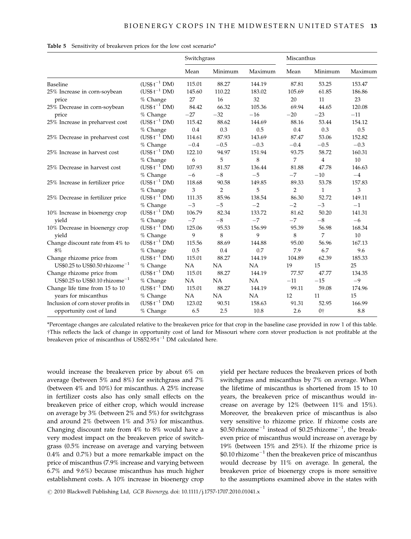|                                                         |                  | Switchgrass |                |             | Miscanthus     |                |         |  |
|---------------------------------------------------------|------------------|-------------|----------------|-------------|----------------|----------------|---------|--|
|                                                         |                  | Mean        | Minimum        | Maximum     | Mean           | Minimum        | Maximum |  |
| Baseline                                                | $(US$t^{-1} DM)$ | 115.01      | 88.27          | 144.19      | 87.81          | 53.25          | 153.47  |  |
| 25% Increase in corn-soybean                            | $(US$t^{-1} DM)$ | 145.60      | 110.22         | 183.02      | 105.69         | 61.85          | 186.86  |  |
| price                                                   | % Change         | 27          | 16             | 32          | 20             | 11             | 23      |  |
| 25% Decrease in corn-soybean                            | $(US$t^{-1} DM)$ | 84.42       | 66.32          | 105.36      | 69.94          | 44.65          | 120.08  |  |
| price                                                   | % Change         | $-27$       | $-32$          | $-16$       | $-20$          | $-23$          | $-11$   |  |
| 25% Increase in preharvest cost                         | $(US$t^{-1} DM)$ | 115.42      | 88.62          | 144.69      | 88.16          | 53.44          | 154.12  |  |
|                                                         | % Change         | 0.4         | 0.3            | 0.5         | 0.4            | 0.3            | 0.5     |  |
| 25% Decrease in preharvest cost                         | $(US$t^{-1} DM)$ | 114.61      | 87.93          | 143.69      | 87.47          | 53.06          | 152.82  |  |
|                                                         | % Change         | $-0.4$      | $-0.5$         | $-0.3$      | $-0.4$         | $-0.5$         | $-0.3$  |  |
| 25% Increase in harvest cost                            | $(US$t^{-1} DM)$ | 122.10      | 94.97          | 151.94      | 93.75          | 58.72          | 160.31  |  |
|                                                         | % Change         | 6           | 5              | 8           | 7              | $\overline{4}$ | 10      |  |
| 25% Decrease in harvest cost                            | $(US$t^{-1} DM)$ | 107.93      | 81.57          | 136.44      | 81.88          | 47.78          | 146.63  |  |
|                                                         | % Change         | $-6$        | $-8$           | $-5$        | $-7$           | $-10$          | $-4$    |  |
| 25% Increase in fertilizer price                        | $(US$t^{-1} DM)$ | 118.68      | 90.58          | 149.85      | 89.33          | 53.78          | 157.83  |  |
|                                                         | % Change         | 3           | $\overline{2}$ | 5           | $\overline{2}$ | $\mathbf{1}$   | 3       |  |
| 25% Decrease in fertilizer price                        | $(US$t^{-1} DM)$ | 111.35      | 85.96          | 138.54      | 86.30          | 52.72          | 149.11  |  |
|                                                         | % Change         | $-3$        | $-5$           | $-2$        | $-2$           | $-3$           | $-1$    |  |
| 10% Increase in bioenergy crop                          | $(US$t^{-1} DM)$ | 106.79      | 82.34          | 133.72      | 81.62          | 50.20          | 141.31  |  |
| yield                                                   | % Change         | $-7$        | $-8$           | $-7$        | $-7$           | $-8$           | $-6$    |  |
| 10% Decrease in bioenergy crop                          | $(US$t^{-1}$ DM) | 125.06      | 95.53          | 156.99      | 95.39          | 56.98          | 168.34  |  |
| vield                                                   | % Change         | 9           | 8              | $\mathbf Q$ | 8              | 7              | 10      |  |
| Change discount rate from 4% to                         | $(US$t^{-1} DM)$ | 115.56      | 88.69          | 144.88      | 95.00          | 56.96          | 167.13  |  |
| 8%                                                      | % Change         | 0.5         | 0.4            | 0.7         | 7.9            | 6.7            | 9.6     |  |
| Change rhizome price from                               | $(US$t^{-1} DM)$ | 115.01      | 88.27          | 144.19      | 104.89         | 62.39          | 185.33  |  |
| US\$0.25 to US\$0.50 rhizome <sup><math>-1</math></sup> | % Change         | NA          | NA             | NA          | 19             | 15             | 25      |  |
| Change rhizome price from                               | $(US$t^{-1} DM)$ | 115.01      | 88.27          | 144.19      | 77.57          | 47.77          | 134.35  |  |
| US\$0.25 to US\$0.10 rhizome <sup><math>-1</math></sup> | % Change         | NA          | NA             | NA          | $-11$          | $-15$          | $-9$    |  |
| Change life time from 15 to 10                          | $(US$t^{-1} DM)$ | 115.01      | 88.27          | 144.19      | 99.11          | 59.08          | 174.96  |  |
| years for miscanthus                                    | % Change         | NA          | NA             | NA          | 12             | 11             | 15      |  |
| Inclusion of corn stover profits in                     | $(US$t^{-1} DM)$ | 123.02      | 90.51          | 158.63      | 91.31          | 52.95          | 166.99  |  |
| opportunity cost of land                                | % Change         | 6.5         | 2.5            | 10.8        | 2.6            | $0+$           | 8.8     |  |

|  |  | <b>Table 5</b> Sensitivity of breakeven prices for the low cost scenario <sup>*</sup> |  |  |  |  |  |  |  |  |  |  |
|--|--|---------------------------------------------------------------------------------------|--|--|--|--|--|--|--|--|--|--|
|--|--|---------------------------------------------------------------------------------------|--|--|--|--|--|--|--|--|--|--|

\*Percentage changes are calculated relative to the breakeven price for that crop in the baseline case provided in row 1 of this table. †This reflects the lack of change in opportunity cost of land for Missouri where corn stover production is not profitable at the breakeven price of miscanthus of US\$52.95 $t^{-1}$  DM calculated here.

would increase the breakeven price by about 6% on average (between 5% and 8%) for switchgrass and 7% (between 4% and 10%) for miscanthus. A 25% increase in fertilizer costs also has only small effects on the breakeven price of either crop, which would increase on average by 3% (between 2% and 5%) for switchgrass and around 2% (between 1% and 3%) for miscanthus. Changing discount rate from 4% to 8% would have a very modest impact on the breakeven price of switchgrass (0.5% increase on average and varying between 0.4% and 0.7%) but a more remarkable impact on the price of miscanthus (7.9% increase and varying between 6.7% and 9.6%) because miscanthus has much higher establishment costs. A 10% increase in bioenergy crop yield per hectare reduces the breakeven prices of both switchgrass and miscanthus by 7% on average. When the lifetime of miscanthus is shortened from 15 to 10 years, the breakeven price of miscanthus would increase on average by 12% (between 11% and 15%). Moreover, the breakeven price of miscanthus is also very sensitive to rhizome price. If rhizome costs are  $$0.50 \text{ rhizome}^{-1}$$  instead of  $$0.25 \text{ rhizome}^{-1}$$ , the breakeven price of miscanthus would increase on average by 19% (between 15% and 25%). If the rhizome price is  $$0.10$  rhizome<sup>-1</sup> then the breakeven price of miscanthus would decrease by 11% on average. In general, the breakeven price of bioenergy crops is more sensitive to the assumptions examined above in the states with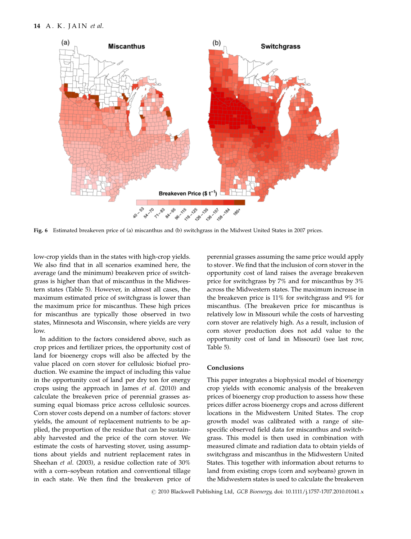

Fig. 6 Estimated breakeven price of (a) miscanthus and (b) switchgrass in the Midwest United States in 2007 prices.

low-crop yields than in the states with high-crop yields. We also find that in all scenarios examined here, the average (and the minimum) breakeven price of switchgrass is higher than that of miscanthus in the Midwestern states (Table 5). However, in almost all cases, the maximum estimated price of switchgrass is lower than the maximum price for miscanthus. These high prices for miscanthus are typically those observed in two states, Minnesota and Wisconsin, where yields are very low.

In addition to the factors considered above, such as crop prices and fertilizer prices, the opportunity cost of land for bioenergy crops will also be affected by the value placed on corn stover for cellulosic biofuel production. We examine the impact of including this value in the opportunity cost of land per dry ton for energy crops using the approach in James et al. (2010) and calculate the breakeven price of perennial grasses assuming equal biomass price across cellulosic sources. Corn stover costs depend on a number of factors: stover yields, the amount of replacement nutrients to be applied, the proportion of the residue that can be sustainably harvested and the price of the corn stover. We estimate the costs of harvesting stover, using assumptions about yields and nutrient replacement rates in Sheehan et al. (2003), a residue collection rate of 30% with a corn–soybean rotation and conventional tillage in each state. We then find the breakeven price of

perennial grasses assuming the same price would apply to stover . We find that the inclusion of corn stover in the opportunity cost of land raises the average breakeven price for switchgrass by 7% and for miscanthus by 3% across the Midwestern states. The maximum increase in the breakeven price is 11% for switchgrass and 9% for miscanthus. (The breakeven price for miscanthus is relatively low in Missouri while the costs of harvesting corn stover are relatively high. As a result, inclusion of corn stover production does not add value to the opportunity cost of land in Missouri) (see last row, Table 5).

## Conclusions

This paper integrates a biophysical model of bioenergy crop yields with economic analysis of the breakeven prices of bioenergy crop production to assess how these prices differ across bioenergy crops and across different locations in the Midwestern United States. The crop growth model was calibrated with a range of sitespecific observed field data for miscanthus and switchgrass. This model is then used in combination with measured climate and radiation data to obtain yields of switchgrass and miscanthus in the Midwestern United States. This together with information about returns to land from existing crops (corn and soybeans) grown in the Midwestern states is used to calculate the breakeven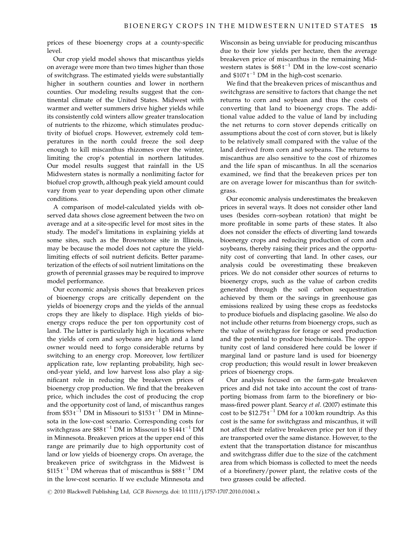prices of these bioenergy crops at a county-specific level.

Our crop yield model shows that miscanthus yields on average were more than two times higher than those of switchgrass. The estimated yields were substantially higher in southern counties and lower in northern counties. Our modeling results suggest that the continental climate of the United States. Midwest with warmer and wetter summers drive higher yields while its consistently cold winters allow greater translocation of nutrients to the rhizome, which stimulates productivity of biofuel crops. However, extremely cold temperatures in the north could freeze the soil deep enough to kill miscanthus rhizomes over the winter, limiting the crop's potential in northern latitudes. Our model results suggest that rainfall in the US Midwestern states is normally a nonlimiting factor for biofuel crop growth, although peak yield amount could vary from year to year depending upon other climate conditions.

A comparison of model-calculated yields with observed data shows close agreement between the two on average and at a site-specific level for most sites in the study. The model's limitations in explaining yields at some sites, such as the Brownstone site in Illinois, may be because the model does not capture the yieldlimiting effects of soil nutrient deficits. Better parameterization of the effects of soil nutrient limitations on the growth of perennial grasses may be required to improve model performance.

Our economic analysis shows that breakeven prices of bioenergy crops are critically dependent on the yields of bioenergy crops and the yields of the annual crops they are likely to displace. High yields of bioenergy crops reduce the per ton opportunity cost of land. The latter is particularly high in locations where the yields of corn and soybeans are high and a land owner would need to forgo considerable returns by switching to an energy crop. Moreover, low fertilizer application rate, low replanting probability, high second-year yield, and low harvest loss also play a significant role in reducing the breakeven prices of bioenergy crop production. We find that the breakeven price, which includes the cost of producing the crop and the opportunity cost of land, of miscanthus ranges from \$53 t<sup>-1</sup> DM in Missouri to \$153 t<sup>-1</sup> DM in Minnesota in the low-cost scenario. Corresponding costs for switchgrass are  $$88\text{ t}^{-1}$  DM in Missouri to  $$144\text{ t}^{-1}$  DM in Minnesota. Breakeven prices at the upper end of this range are primarily due to high opportunity cost of land or low yields of bioenergy crops. On average, the breakeven price of switchgrass in the Midwest is  $$115 t<sup>-1</sup>$  DM whereas that of miscanthus is  $$88 t<sup>-1</sup>$  DM in the low-cost scenario. If we exclude Minnesota and

Wisconsin as being unviable for producing miscanthus due to their low yields per hectare, then the average breakeven price of miscanthus in the remaining Midwestern states is  $$68 t^{-1}$  DM in the low-cost scenario and  $$107 t^{-1}$  DM in the high-cost scenario.

We find that the breakeven prices of miscanthus and switchgrass are sensitive to factors that change the net returns to corn and soybean and thus the costs of converting that land to bioenergy crops. The additional value added to the value of land by including the net returns to corn stover depends critically on assumptions about the cost of corn stover, but is likely to be relatively small compared with the value of the land derived from corn and soybeans. The returns to miscanthus are also sensitive to the cost of rhizomes and the life span of miscanthus. In all the scenarios examined, we find that the breakeven prices per ton are on average lower for miscanthus than for switchgrass.

Our economic analysis underestimates the breakeven prices in several ways. It does not consider other land uses (besides corn–soybean rotation) that might be more profitable in some parts of these states. It also does not consider the effects of diverting land towards bioenergy crops and reducing production of corn and soybeans, thereby raising their prices and the opportunity cost of converting that land. In other cases, our analysis could be overestimating these breakeven prices. We do not consider other sources of returns to bioenergy crops, such as the value of carbon credits generated through the soil carbon sequestration achieved by them or the savings in greenhouse gas emissions realized by using these crops as feedstocks to produce biofuels and displacing gasoline. We also do not include other returns from bioenergy crops, such as the value of switchgrass for forage or seed production and the potential to produce biochemicals. The opportunity cost of land considered here could be lower if marginal land or pasture land is used for bioenergy crop production; this would result in lower breakeven prices of bioenergy crops.

Our analysis focused on the farm-gate breakeven prices and did not take into account the cost of transporting biomass from farm to the biorefinery or biomass-fired power plant. Searcy et al. (2007) estimate this cost to be  $$12.75 t^{-1}$  DM for a 100 km roundtrip. As this cost is the same for switchgrass and miscanthus, it will not affect their relative breakeven price per ton if they are transported over the same distance. However, to the extent that the transportation distance for miscanthus and switchgrass differ due to the size of the catchment area from which biomass is collected to meet the needs of a biorefinery/power plant, the relative costs of the two grasses could be affected.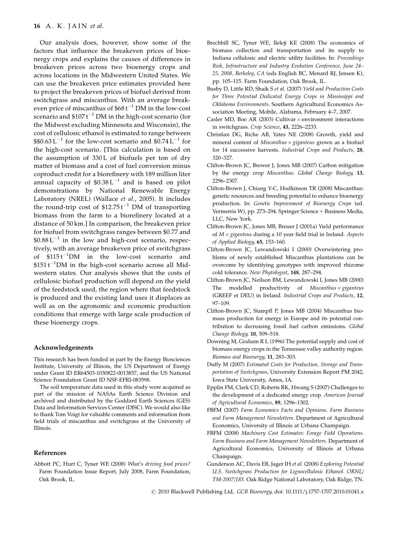Our analysis does, however, show some of the factors that influence the breakeven prices of bioenergy crops and explains the causes of differences in breakeven prices across two bioenergy crops and across locations in the Midwestern United States. We can use the breakeven price estimates provided here to project the breakeven prices of biofuel derived from switchgrass and miscanthus. With an average breakeven price of miscanthus of  $$68\text{ t}^{-1}$  DM in the low-cost scenario and  $$107 t^{-1}$  DM in the high-cost scenario (for the Midwest excluding Minnesota and Wisconsin), the cost of cellulosic ethanol is estimated to range between  $$0.63 L^{-1}$  for the low-cost scenario and  $$0.74 L^{-1}$  for the high-cost scenario. [This calculation is based on the assumption of 330 L of biofuels per ton of dry matter of biomass and a cost of fuel conversion minus coproduct credit for a biorefinery with 189 million liter annual capacity of  $$0.38 \text{ L}^{-1}$$  and is based on pilot demonstrations by National Renewable Energy Laboratory (NREL) (Wallace et al., 2005). It includes the round-trip cost of  $$12.75 t^{-1}$  DM of transporting biomass from the farm to a biorefinery located at a distance of 50 km.] In comparison, the breakeven price for biofuel from switchgrass ranges between \$0.77 and  $$0.88 \text{ L}^{-1}$$  in the low and high-cost scenario, respectively, with an average breakeven price of switchgrass of  $$115 t^{-1}DM$  in the low-cost scenario and  $$151\,{\rm t}^{-1} {\rm DM}$  in the high-cost scenario across all Midwestern states. Our analysis shows that the costs of cellulosic biofuel production will depend on the yield of the feedstock used, the region where that feedstock is produced and the existing land uses it displaces as well as on the agronomic and economic production conditions that emerge with large scale production of these bioenergy crops.

# Acknowledgements

This research has been funded in part by the Energy Biosciences Institute, University of Illinois, the US Department of Energy under Grant ID ER64503-1030822-0013857, and the US National Science Foundation Grant ID NSF-EFRI-083598.

The soil temperature data used in this study were acquired as part of the mission of NASAs Earth Science Division and archived and distributed by the Goddard Earth Sciences (GES) Data and Information Services Center (DISC). We would also like to thank Tom Voigt for valuable comments and information from field trials of miscanthus and switchgrass at the University of Illinois.

# References

Abbott PC, Hurt C, Tyner WE (2008) What's driving food prices? Farm Foundation Issue Report, July 2008, Farm Foundation, Oak Brook, IL.

- Brechbill SC, Tyner WE, Ileleji KE (2008) The economics of biomass collection and transportation and its supply to Indiana cellulosic and electric utility facilities. In: Proceedings Risk, Infrastructure and Industry Evolution Conference, June 24– 25, 2008, Berkeley, CA (eds English BC, Menard RJ, Jensen K), pp. 105–115. Farm Foundation, Oak Brook, IL.
- Busby D, Little RD, Shaik S et al. (2007) Yield and Production Costs for Three Potential Dedicated Energy Crops in Mississippi and Oklahoma Environments. Southern Agricultural Economics Association Meeting, Mobile, Alabama, February 4–7, 2007.
- Casler MD, Boe AR (2003) Cultivar  $\times$  environment interactions in switchgrass. Crop Science, 43, 2226–2233.
- Christian DG, Riche AB, Yates NE (2008) Growth, yield and mineral content of Miscanthus  $\times$  giganteus grown as a biofuel for 14 successive harvests. Industrial Crops and Products, 28, 320–327.
- Clifton-Brown JC, Brewer J, Jones MB (2007) Carbon mitigation by the energy crop Miscanthus. Global Change Biology, 13, 2296–2307.
- Clifton-Brown J, Chiang Y-C, Hodkinson TR (2008) Miscanthus: genetic resources and breeding potential to enhance bioenergy production. In: Genetic Improvement of Bioenergy Crops (ed. Vermerris W), pp. 273–294. Springer Science + Business Media, LLC, New York.
- Clifton-Brown JC, Jones MB, Breuer J (2001a) Yield performance of  $M \times$  giganteus during a 10 year field trial in Ireland. Aspects of Applied Biology, 65, 153–160.
- Clifton-Brown JC, Lewandowski I (2000) Overwintering problems of newly established Miscanthus plantations can be overcome by identifying genotypes with improved rhizome cold tolerance. New Phytologist, 148, 287–294.
- Clifton-Brown JC, Neilson BM, Lewandowski I, Jones MB (2000) The modelled productivity of Miscanthus  $\times$  giganteus (GREEF et DEU) in Ireland. Industrial Crops and Products, 12, 97–109.
- Clifton-Brown JC, Stampfl P, Jones MB (2004) Miscanthus biomass production for energy in Europe and its potential contribution to decreasing fossil fuel carbon emissions. Global Change Biology, 10, 509–518.
- Downing M, Graham R L (1996) The potential supply and cost of biomass energy crops in the Tennessee valley authority region. Biomass and Bioenergy, 11, 283–303.
- Duffy M (2007) Estimated Costs for Production, Storage and Transportation of Switchgrass, University Extension Report PM 2042, Iowa State University, Ames, IA.
- Epplin FM, Clark CD, Roberts RK, Hwang S (2007) Challenges to the development of a dedicated energy crop. American Journal of Agricultural Economics, 89, 1296–1302.
- FBFM (2007) Farm Economics Facts and Opinions. Farm Business and Farm Management Newsletters. Department of Agricultural Economics, University of Illinois at Urbana Champaign.
- FBFM (2008) Machinery Cost Estimates: Forage Field Operations. Farm Business and Farm Management Newsletters. Department of Agricultural Economics, University of Illinois at Urbana Champaign.
- Gunderson AC, Davis EB, Jager IH et al. (2008) Exploring Potential U.S. Switchgrass Production for Lignocellulosic Ethanol. ORNL/ TM-2007/183. Oak Ridge National Laboratory, Oak Ridge, TN.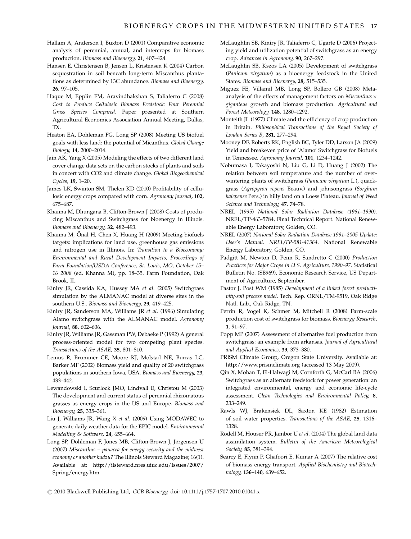- Hallam A, Anderson I, Buxton D (2001) Comparative economic analysis of perennial, annual, and intercrops for biomass production. Biomass and Bioenergy, 21, 407–424.
- Hansen E, Christensen B, Jensen L, Kristensen K (2004) Carbon sequestration in soil beneath long-term Miscanthus plantations as determined by 13C abundance. Biomass and Bioenergy, 26, 97–105.
- Haque M, Epplin FM, Aravindhakshan S, Taliaferro C (2008) Cost to Produce Cellulosic Biomass Feedstock: Four Perennial Grass Species Compared. Paper presented at Southern Agricultural Economics Association Annual Meeting, Dallas, TX.
- Heaton EA, Dohleman FG, Long SP (2008) Meeting US biofuel goals with less land: the potential of Micanthus. Global Change Biology, 14, 2000–2014.
- Jain AK, Yang X (2005) Modeling the effects of two different land cover change data sets on the carbon stocks of plants and soils in concert with CO2 and climate change. Global Biogeochemical Cycles, 19, 1–20.
- James LK, Swinton SM, Thelen KD (2010) Profitability of cellulosic energy crops compared with corn. Agronomy Journal, 102, 675–687.
- Khanna M, Dhungana B, Clifton-Brown J (2008) Costs of producing Miscanthus and Switchgrass for bioenergy in Illinois. Biomass and Bioenergy, 32, 482–493.
- Khanna M, Önal H, Chen X, Huang H (2009) Meeting biofuels targets: implications for land use, greenhouse gas emissions and nitrogen use in Illinois. In: Transition to a Bioeconomy: Environmental and Rural Development Impacts, Proceedings of Farm Foundation/USDA Conference, St. Louis, MO, October 15– 16 2008 (ed. Khanna M), pp. 18–35. Farm Foundation, Oak Brook, IL.
- Kiniry JR, Cassida KA, Hussey MA et al. (2005) Switchgrass simulation by the ALMANAC model at diverse sites in the southern U.S.. Biomass and Bioenergy, 29, 419–425.
- Kiniry JR, Sanderson MA, Williams JR et al. (1996) Simulating Alamo switchgrass with the ALMANAC model. Agronomy Journal, 88, 602–606.
- Kiniry JR, Williams JR, Gassman PW, Debaeke P (1992) A general process-oriented model for two competing plant species. Transactions of the ASAE, 35, 801–810.
- Lemus R, Brummer CE, Moore KJ, Molstad NE, Burras LC, Barker MF (2002) Biomass yield and quality of 20 switchgrass populations in southern Iowa, USA. Biomass and Bioenergy, 23, 433–442.
- Lewandowski I, Scurlock JMO, Lindvall E, Christou M (2003) The development and current status of perennial rhizomatous grasses as energy crops in the US and Europe. Biomass and Bioenergy, 25, 335–361.
- Liu J, Williams JR, Wang X et al. (2009) Using MODAWEC to generate daily weather data for the EPIC model. Environmental Modelling & Software, 24, 655–664.
- Long SP, Dohleman F, Jones MB, Clifton-Brown J, Jørgensen U (2007) Miscanthus – panacea for energy security and the midwest economy or another kudzu? The Illinois Steward Magazine; 16(1). Available at: [http://ilsteward.nres.uiuc.edu/Issues/2007/](http://ilsteward.nres.uiuc.edu/Issues/2007/Spring/energy.htm) [Spring/energy.htm](http://ilsteward.nres.uiuc.edu/Issues/2007/Spring/energy.htm)
- McLaughlin SB, Kiniry JR, Taliaferro C, Ugarte D (2006) Projecting yield and utilization potential of switchgrass as an energy crop. Advances in Agronomy, 90, 267–297.
- McLaughlin SB, Kszos LA (2005) Development of switchgrass (Panicum virgatum) as a bioenergy feedstock in the United States. Biomass and Bioenergy, 28, 515–535.
- Miguez FE, Villamil MB, Long SP, Bollero GB (2008) Metaanalysis of the effects of management factors on Miscanthus  $\times$ giganteus growth and biomass production. Agricultural and Forest Meteorology, 148, 1280–1292.
- Monteith JL (1977) Climate and the efficiency of crop production in Britain. Philosophical Transactions of the Royal Society of London Series B, 281, 277–294.
- Mooney DF, Roberts RK, English BC, Tyler DD, Larson JA (2009) Yield and breakeven price of 'Alamo' Switchgrass for Biofuels in Tennessee. Agronomy Journal, 101, 1234–1242.
- Nobumasa I, Takayoshi N, Liu G, Li D, Huang J (2002) The relation between soil temperature and the number of overwintering plants of switchgrass (Panicum virgatum L.), quackgrass (Agropyron repens Beauv.) and johnsongrass (Sorghum halepense Pers.) in hilly land on a Loess Plateau. Journal of Weed Science and Technology, 47, 74–78.
- NREL (1995) National Solar Radiation Database (1961–1990). NREL/TP-463-5784, Final Technical Report. National Renewable Energy Laboratory, Golden, CO.
- NREL (2007) National Solar Radiation Database 1991–2005 Update: User's Manual. NREL/TP-581-41364. National Renewable Energy Laboratory, Golden, CO.
- Padgitt M, Newton D, Penn R, Sandretto C (2000) Production Practices for Major Crops in U.S. Agriculture, 1990–97. Statistical Bulletin No. (SB969), Economic Research Service, US Department of Agriculture, September.
- Pastor J, Post WM (1985) Development of a linked forest productivity-soil process model. Tech. Rep. ORNL/TM-9519, Oak Ridge Natl. Lab., Oak Ridge, TN.
- Perrin R, Vogel K, Schmer M, Mitchell R (2008) Farm-scale production cost of switchgrass for biomass. Bioenergy Research, 1, 91–97.
- Popp MP (2007) Assessment of alternative fuel production from switchgrass: an example from arkansas. Journal of Agricultural and Applied Economics, 39, 373–380.
- PRISM Climate Group, Oregon State University, Available at: [http://www.prismclimate.org \(accessed 13 May 2009\).](http://www.prismclimate.org)
- Qin X, Mohan T, El-Halwagi M, Cornforth G, McCarl BA (2006) Switchgrass as an alternate feedstock for power generation: an integrated environmental, energy and economic life-cycle assessment. Clean Technologies and Environmental Policy, 8, 233–249.
- Rawls WJ, Brakensiek DL, Saxton KE (1982) Estimation of soil water properties. Transactions of the ASAE, 25, 1316– 1328.
- Rodell M, Houser PR, Jambor U et al. (2004) The global land data assimilation system. Bulletin of the American Meteorological Society, 85, 381–394.
- Searcy E, Flynn P, Ghafoori E, Kumar A (2007) The relative cost of biomass energy transport. Applied Biochemistry and Biotechnology, 136–140, 639–652.